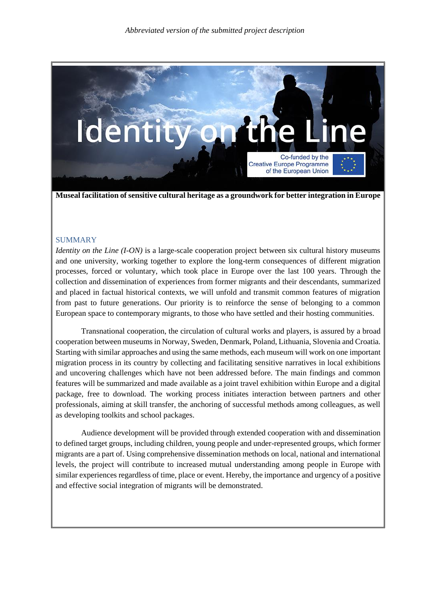

**Museal facilitation of sensitive cultural heritage as a groundwork for better integration in Europe**

### SUMMARY

*Identity on the Line* (*I-ON*) is a large-scale cooperation project between six cultural history museums and one university, working together to explore the long-term consequences of different migration processes, forced or voluntary, which took place in Europe over the last 100 years. Through the collection and dissemination of experiences from former migrants and their descendants, summarized and placed in factual historical contexts, we will unfold and transmit common features of migration from past to future generations. Our priority is to reinforce the sense of belonging to a common European space to contemporary migrants, to those who have settled and their hosting communities.

Transnational cooperation, the circulation of cultural works and players, is assured by a broad cooperation between museums in Norway, Sweden, Denmark, Poland, Lithuania, Slovenia and Croatia. Starting with similar approaches and using the same methods, each museum will work on one important migration process in its country by collecting and facilitating sensitive narratives in local exhibitions and uncovering challenges which have not been addressed before. The main findings and common features will be summarized and made available as a joint travel exhibition within Europe and a digital package, free to download. The working process initiates interaction between partners and other professionals, aiming at skill transfer, the anchoring of successful methods among colleagues, as well as developing toolkits and school packages.

Audience development will be provided through extended cooperation with and dissemination to defined target groups, including children, young people and under-represented groups, which former migrants are a part of. Using comprehensive dissemination methods on local, national and international levels, the project will contribute to increased mutual understanding among people in Europe with similar experiences regardless of time, place or event. Hereby, the importance and urgency of a positive and effective social integration of migrants will be demonstrated.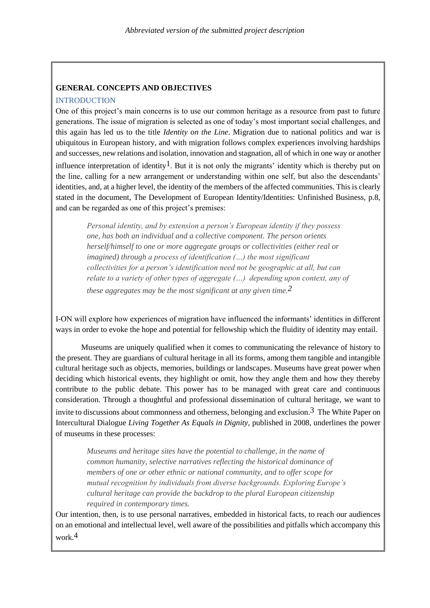### **GENERAL CONCEPTS AND OBJECTIVES**

#### **INTRODUCTION**

One of this project's main concerns is to use our common heritage as a resource from past to future generations. The issue of migration is selected as one of today's most important social challenges, and this again has led us to the title *Identity on the Line*. Migration due to national politics and war is ubiquitous in European history, and with migration follows complex experiences involving hardships and successes, new relations and isolation, innovation and stagnation, all of which in one way or another influence interpretation of identity<sup>1</sup>. But it is not only the migrants' identity which is thereby put on the line, calling for a new arrangement or understanding within one self, but also the descendants' identities, and, at a higher level, the identity of the members of the affected communities. This is clearly stated in the document, The Development of European Identity/Identities: Unfinished Business, p.8, and can be regarded as one of this project's premises:

*Personal identity, and by extension a person's European identity if they possess one, has both an individual and a collective component. The person orients herself/himself to one or more aggregate groups or collectivities (either real or imagined) through a process of identification (…) the most significant collectivities for a person's identification need not be geographic at all, but can relate to a variety of other types of aggregate (…) depending upon context, any of these aggregates may be the most significant at any given time.2*

I-ON will explore how experiences of migration have influenced the informants' identities in different ways in order to evoke the hope and potential for fellowship which the fluidity of identity may entail.

Museums are uniquely qualified when it comes to communicating the relevance of history to the present. They are guardians of cultural heritage in all its forms, among them tangible and intangible cultural heritage such as objects, memories, buildings or landscapes. Museums have great power when deciding which historical events, they highlight or omit, how they angle them and how they thereby contribute to the public debate. This power has to be managed with great care and continuous consideration. Through a thoughtful and professional dissemination of cultural heritage, we want to invite to discussions about commonness and otherness, belonging and exclusion.<sup>3</sup> The White Paper on Intercultural Dialogue *Living Together As Equals in Dignity*, published in 2008, underlines the power of museums in these processes:

*Museums and heritage sites have the potential to challenge, in the name of common humanity, selective narratives reflecting the historical dominance of members of one or other ethnic or national community, and to offer scope for mutual recognition by individuals from diverse backgrounds. Exploring Europe's cultural heritage can provide the backdrop to the plural European citizenship required in contemporary times.*

Our intention, then, is to use personal narratives, embedded in historical facts, to reach our audiences on an emotional and intellectual level, well aware of the possibilities and pitfalls which accompany this work.4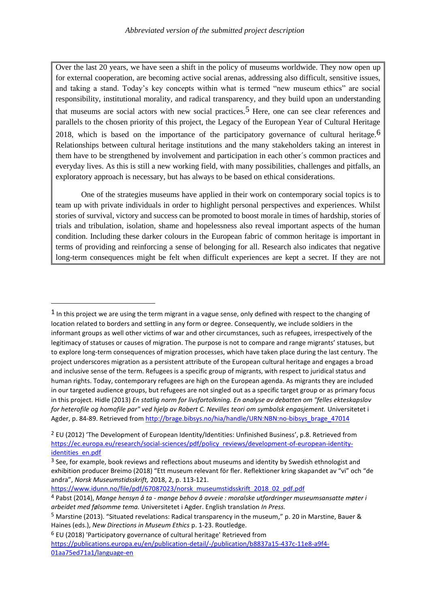Over the last 20 years, we have seen a shift in the policy of museums worldwide. They now open up for external cooperation, are becoming active social arenas, addressing also difficult, sensitive issues, and taking a stand. Today's key concepts within what is termed "new museum ethics" are social responsibility, institutional morality, and radical transparency, and they build upon an understanding that museums are social actors with new social practices.<sup>5</sup> Here, one can see clear references and parallels to the chosen priority of this project, the Legacy of the European Year of Cultural Heritage 2018, which is based on the importance of the participatory governance of cultural heritage.<sup>6</sup> Relationships between cultural heritage institutions and the many stakeholders taking an interest in them have to be strengthened by involvement and participation in each other´s common practices and everyday lives. As this is still a new working field, with many possibilities, challenges and pitfalls, an exploratory approach is necessary, but has always to be based on ethical considerations.

One of the strategies museums have applied in their work on contemporary social topics is to team up with private individuals in order to highlight personal perspectives and experiences. Whilst stories of survival, victory and success can be promoted to boost morale in times of hardship, stories of trials and tribulation, isolation, shame and hopelessness also reveal important aspects of the human condition. Including these darker colours in the European fabric of common heritage is important in terms of providing and reinforcing a sense of belonging for all. Research also indicates that negative long-term consequences might be felt when difficult experiences are kept a secret. If they are not

[https://www.idunn.no/file/pdf/67087023/norsk\\_museumstidsskrift\\_2018\\_02\\_pdf.pdf](https://www.idunn.no/file/pdf/67087023/norsk_museumstidsskrift_2018_02_pdf.pdf)

1

<sup>&</sup>lt;sup>1</sup> In this project we are using the term migrant in a vague sense, only defined with respect to the changing of location related to borders and settling in any form or degree. Consequently, we include soldiers in the informant groups as well other victims of war and other circumstances, such as refugees, irrespectively of the legitimacy of statuses or causes of migration. The purpose is not to compare and range migrants' statuses, but to explore long-term consequences of migration processes, which have taken place during the last century. The project underscores migration as a persistent attribute of the European cultural heritage and engages a broad and inclusive sense of the term. Refugees is a specific group of migrants, with respect to juridical status and human rights. Today, contemporary refugees are high on the European agenda. As migrants they are included in our targeted audience groups, but refugees are not singled out as a specific target group or as primary focus in this project. Hidle (2013) *En statlig norm for livsfortolkning. En analyse av debatten om "felles ekteskapslov for heterofile og homofile par" ved hjelp av Robert C. Nevilles teori om symbolsk engasjement.* Universitetet i Agder, p. 84-89. Retrieved fro[m http://brage.bibsys.no/hia/handle/URN:NBN:no-bibsys\\_brage\\_47014](http://brage.bibsys.no/hia/handle/URN:NBN:no-bibsys_brage_47014)

<sup>2</sup> EU (2012) 'The Development of European Identity/Identities: Unfinished Business', p.8. Retrieved from [https://ec.europa.eu/research/social-sciences/pdf/policy\\_reviews/development-of-european-identity](https://ec.europa.eu/research/social-sciences/pdf/policy_reviews/development-of-european-identity-identities_en.pdf)[identities\\_en.pdf](https://ec.europa.eu/research/social-sciences/pdf/policy_reviews/development-of-european-identity-identities_en.pdf)

<sup>&</sup>lt;sup>3</sup> See, for example, book reviews and reflections about museums and identity by Swedish ethnologist and exhibition producer Breimo (2018) "Ett museum relevant för fler. Reflektioner kring skapandet av "vi" och "de andra", *Norsk Museumstidsskrift,* 2018, 2, p. 113-121.

<sup>4</sup> Pabst (2014), *Mange hensyn å ta - mange behov å avveie : moralske utfordringer museumsansatte møter i arbeidet med følsomme tema.* Universitetet i Agder. English translation *In Press.*

<sup>5</sup> Marstine (2013). "Situated revelations: Radical transparency in the museum," p. 20 in Marstine, Bauer & Haines (eds.), *New Directions in Museum Ethics* p. 1-23. Routledge.

<sup>6</sup> EU (2018) 'Participatory governance of cultural heritage' Retrieved from

[https://publications.europa.eu/en/publication-detail/-/publication/b8837a15-437c-11e8-a9f4-](https://publications.europa.eu/en/publication-detail/-/publication/b8837a15-437c-11e8-a9f4-01aa75ed71a1/language-en) [01aa75ed71a1/language-en](https://publications.europa.eu/en/publication-detail/-/publication/b8837a15-437c-11e8-a9f4-01aa75ed71a1/language-en)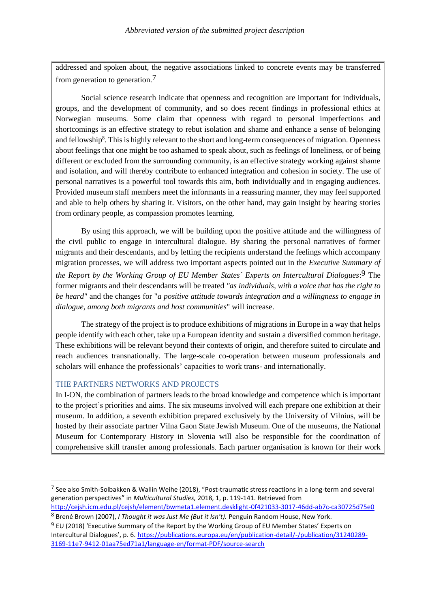addressed and spoken about, the negative associations linked to concrete events may be transferred from generation to generation.7

Social science research indicate that openness and recognition are important for individuals, groups, and the development of community, and so does recent findings in professional ethics at Norwegian museums. Some claim that openness with regard to personal imperfections and shortcomings is an effective strategy to rebut isolation and shame and enhance a sense of belonging and fellowship<sup>8</sup>. This is highly relevant to the short and long-term consequences of migration. Openness about feelings that one might be too ashamed to speak about, such as feelings of loneliness, or of being different or excluded from the surrounding community, is an effective strategy working against shame and isolation, and will thereby contribute to enhanced integration and cohesion in society. The use of personal narratives is a powerful tool towards this aim, both individually and in engaging audiences. Provided museum staff members meet the informants in a reassuring manner, they may feel supported and able to help others by sharing it. Visitors, on the other hand, may gain insight by hearing stories from ordinary people, as compassion promotes learning.

By using this approach, we will be building upon the positive attitude and the willingness of the civil public to engage in intercultural dialogue. By sharing the personal narratives of former migrants and their descendants, and by letting the recipients understand the feelings which accompany migration processes, we will address two important aspects pointed out in the *Executive Summary of the Report by the Working Group of EU Member States´ Experts on Intercultural Dialogues*: 9 The former migrants and their descendants will be treated *"as individuals, with a voice that has the right to be heard"* and the changes for "*a positive attitude towards integration and a willingness to engage in dialogue, among both migrants and host communities*" will increase.

The strategy of the project is to produce exhibitions of migrations in Europe in a way that helps people identify with each other, take up a European identity and sustain a diversified common heritage. These exhibitions will be relevant beyond their contexts of origin, and therefore suited to circulate and reach audiences transnationally. The large-scale co-operation between museum professionals and scholars will enhance the professionals' capacities to work trans- and internationally.

#### THE PARTNERS NETWORKS AND PROJECTS

1

In I-ON, the combination of partners leads to the broad knowledge and competence which is important to the project's priorities and aims. The six museums involved will each prepare one exhibition at their museum. In addition, a seventh exhibition prepared exclusively by the University of Vilnius, will be hosted by their associate partner Vilna Gaon State Jewish Museum. One of the museums, the National Museum for Contemporary History in Slovenia will also be responsible for the coordination of comprehensive skill transfer among professionals. Each partner organisation is known for their work

<sup>7</sup> See also Smith-Solbakken & Wallin Weihe (2018), "Post-traumatic stress reactions in a long-term and several generation perspectives" in *Multicultural Studies,* 2018, 1, p. 119-141. Retrieved from

<http://cejsh.icm.edu.pl/cejsh/element/bwmeta1.element.desklight-0f421033-3017-46dd-ab7c-ca30725d75e0> <sup>8</sup> Brené Brown (2007), *I Thought it was Just Me (But it Isn't).* Penguin Random House, New York.

<sup>9</sup> EU (2018) 'Executive Summary of the Report by the Working Group of EU Member States' Experts on Intercultural Dialogues', p. 6. https://publications.europa.eu/en/publication-detail/-/publication/31240289- 3169-11e7-9412-01aa75ed71a1/language-en/format-PDF/source-search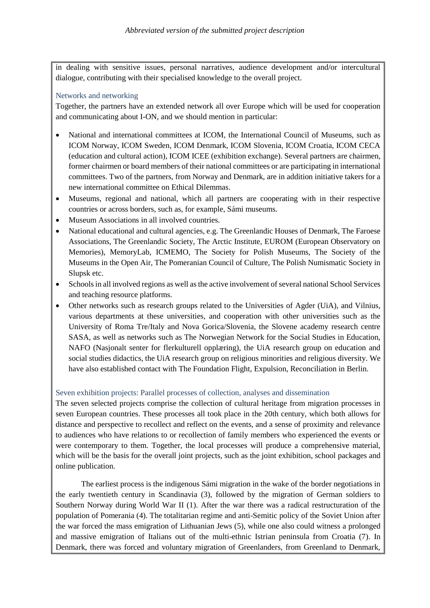in dealing with sensitive issues, personal narratives, audience development and/or intercultural dialogue, contributing with their specialised knowledge to the overall project.

#### Networks and networking

Together, the partners have an extended network all over Europe which will be used for cooperation and communicating about I-ON, and we should mention in particular:

- National and international committees at ICOM, the International Council of Museums, such as ICOM Norway, ICOM Sweden, ICOM Denmark, ICOM Slovenia, ICOM Croatia, ICOM CECA (education and cultural action), ICOM ICEE (exhibition exchange). Several partners are chairmen, former chairmen or board members of their national committees or are participating in international committees. Two of the partners, from Norway and Denmark, are in addition initiative takers for a new international committee on Ethical Dilemmas.
- Museums, regional and national, which all partners are cooperating with in their respective countries or across borders, such as, for example, Sámi museums.
- Museum Associations in all involved countries.
- National educational and cultural agencies, e.g. The Greenlandic Houses of Denmark, The Faroese Associations, The Greenlandic Society, The Arctic Institute, EUROM (European Observatory on Memories), MemoryLab, ICMEMO, The Society for Polish Museums, The Society of the Museums in the Open Air, The Pomeranian Council of Culture, The Polish Numismatic Society in Slupsk etc.
- Schools in all involved regions as well as the active involvement of several national School Services and teaching resource platforms.
- Other networks such as research groups related to the Universities of Agder (UiA), and Vilnius, various departments at these universities, and cooperation with other universities such as the University of Roma Tre/Italy and Nova Gorica/Slovenia, the Slovene academy research centre SASA, as well as networks such as The Norwegian Network for the Social Studies in Education, NAFO (Nasjonalt senter for flerkulturell opplæring), the UiA research group on education and social studies didactics, the UiA research group on religious minorities and religious diversity. We have also established contact with The Foundation Flight, Expulsion, Reconciliation in Berlin.

### Seven exhibition projects: Parallel processes of collection, analyses and dissemination

The seven selected projects comprise the collection of cultural heritage from migration processes in seven European countries. These processes all took place in the 20th century, which both allows for distance and perspective to recollect and reflect on the events, and a sense of proximity and relevance to audiences who have relations to or recollection of family members who experienced the events or were contemporary to them. Together, the local processes will produce a comprehensive material, which will be the basis for the overall joint projects, such as the joint exhibition, school packages and online publication.

The earliest process is the indigenous Sámi migration in the wake of the border negotiations in the early twentieth century in Scandinavia (3), followed by the migration of German soldiers to Southern Norway during World War II (1). After the war there was a radical restructuration of the population of Pomerania (4). The totalitarian regime and anti-Semitic policy of the Soviet Union after the war forced the mass emigration of Lithuanian Jews (5), while one also could witness a prolonged and massive emigration of Italians out of the multi-ethnic Istrian peninsula from Croatia (7). In Denmark, there was forced and voluntary migration of Greenlanders, from Greenland to Denmark,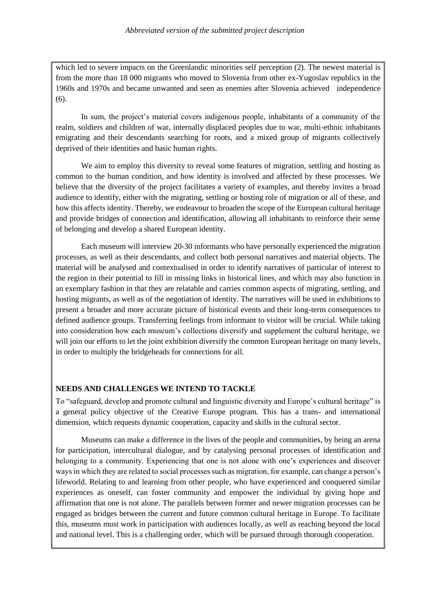which led to severe impacts on the Greenlandic minorities self perception (2). The newest material is from the more than 18 000 migrants who moved to Slovenia from other ex-Yugoslav republics in the 1960s and 1970s and became unwanted and seen as enemies after Slovenia achieved independence (6).

In sum, the project's material covers indigenous people, inhabitants of a community of the realm, soldiers and children of war, internally displaced peoples due to war, multi-ethnic inhabitants emigrating and their descendants searching for roots, and a mixed group of migrants collectively deprived of their identities and basic human rights.

We aim to employ this diversity to reveal some features of migration, settling and hosting as common to the human condition, and how identity is involved and affected by these processes. We believe that the diversity of the project facilitates a variety of examples, and thereby invites a broad audience to identify, either with the migrating, settling or hosting role of migration or all of these, and how this affects identity. Thereby, we endeavour to broaden the scope of the European cultural heritage and provide bridges of connection and identification, allowing all inhabitants to reinforce their sense of belonging and develop a shared European identity.

Each museum will interview 20-30 informants who have personally experienced the migration processes, as well as their descendants, and collect both personal narratives and material objects. The material will be analysed and contextualised in order to identify narratives of particular of interest to the region in their potential to fill in missing links in historical lines, and which may also function in an exemplary fashion in that they are relatable and carries common aspects of migrating, settling, and hosting migrants, as well as of the negotiation of identity. The narratives will be used in exhibitions to present a broader and more accurate picture of historical events and their long-term consequences to defined audience groups. Transferring feelings from informant to visitor will be crucial. While taking into consideration how each museum's collections diversify and supplement the cultural heritage, we will join our efforts to let the joint exhibition diversify the common European heritage on many levels, in order to multiply the bridgeheads for connections for all.

### **NEEDS AND CHALLENGES WE INTEND TO TACKLE**

To "safeguard, develop and promote cultural and linguistic diversity and Europe's cultural heritage" is a general policy objective of the Creative Europe program. This has a trans- and international dimension, which requests dynamic cooperation, capacity and skills in the cultural sector.

Museums can make a difference in the lives of the people and communities, by being an arena for participation, intercultural dialogue, and by catalysing personal processes of identification and belonging to a community. Experiencing that one is not alone with one's experiences and discover ways in which they are related to social processes such as migration, for example, can change a person's lifeworld. Relating to and learning from other people, who have experienced and conquered similar experiences as oneself, can foster community and empower the individual by giving hope and affirmation that one is not alone. The parallels between former and newer migration processes can be engaged as bridges between the current and future common cultural heritage in Europe. To facilitate this, museums must work in participation with audiences locally, as well as reaching beyond the local and national level. This is a challenging order, which will be pursued through thorough cooperation.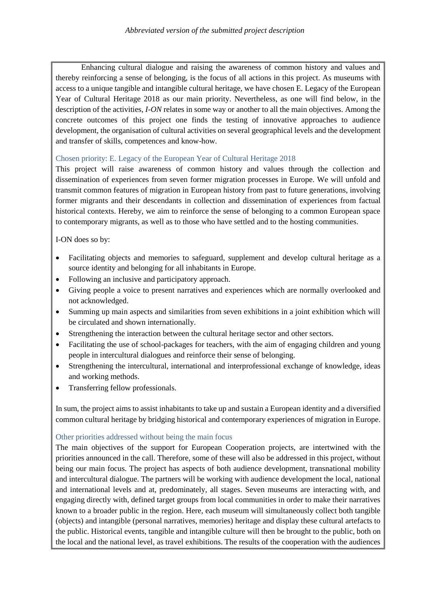Enhancing cultural dialogue and raising the awareness of common history and values and thereby reinforcing a sense of belonging, is the focus of all actions in this project. As museums with access to a unique tangible and intangible cultural heritage, we have chosen E. Legacy of the European Year of Cultural Heritage 2018 as our main priority. Nevertheless, as one will find below, in the description of the activities, *I-ON* relates in some way or another to all the main objectives. Among the concrete outcomes of this project one finds the testing of innovative approaches to audience development, the organisation of cultural activities on several geographical levels and the development and transfer of skills, competences and know-how.

## Chosen priority: E. Legacy of the European Year of Cultural Heritage 2018

This project will raise awareness of common history and values through the collection and dissemination of experiences from seven former migration processes in Europe. We will unfold and transmit common features of migration in European history from past to future generations, involving former migrants and their descendants in collection and dissemination of experiences from factual historical contexts. Hereby, we aim to reinforce the sense of belonging to a common European space to contemporary migrants, as well as to those who have settled and to the hosting communities.

I-ON does so by:

- Facilitating objects and memories to safeguard, supplement and develop cultural heritage as a source identity and belonging for all inhabitants in Europe.
- Following an inclusive and participatory approach.
- Giving people a voice to present narratives and experiences which are normally overlooked and not acknowledged.
- Summing up main aspects and similarities from seven exhibitions in a joint exhibition which will be circulated and shown internationally.
- Strengthening the interaction between the cultural heritage sector and other sectors.
- Facilitating the use of school-packages for teachers, with the aim of engaging children and young people in intercultural dialogues and reinforce their sense of belonging.
- Strengthening the intercultural, international and interprofessional exchange of knowledge, ideas and working methods.
- Transferring fellow professionals.

In sum, the project aims to assist inhabitants to take up and sustain a European identity and a diversified common cultural heritage by bridging historical and contemporary experiences of migration in Europe.

### Other priorities addressed without being the main focus

The main objectives of the support for European Cooperation projects, are intertwined with the priorities announced in the call. Therefore, some of these will also be addressed in this project, without being our main focus. The project has aspects of both audience development, transnational mobility and intercultural dialogue. The partners will be working with audience development the local, national and international levels and at, predominately, all stages. Seven museums are interacting with, and engaging directly with, defined target groups from local communities in order to make their narratives known to a broader public in the region. Here, each museum will simultaneously collect both tangible (objects) and intangible (personal narratives, memories) heritage and display these cultural artefacts to the public. Historical events, tangible and intangible culture will then be brought to the public, both on the local and the national level, as travel exhibitions. The results of the cooperation with the audiences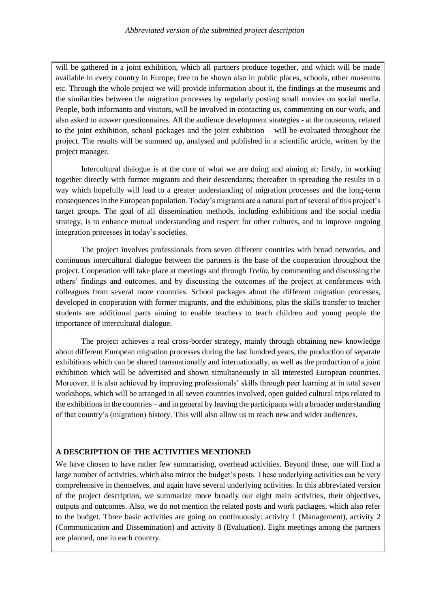will be gathered in a joint exhibition, which all partners produce together, and which will be made available in every country in Europe, free to be shown also in public places, schools, other museums etc. Through the whole project we will provide information about it, the findings at the museums and the similarities between the migration processes by regularly posting small movies on social media. People, both informants and visitors, will be involved in contacting us, commenting on our work, and also asked to answer questionnaires. All the audience development strategies - at the museums, related to the joint exhibition, school packages and the joint exhibition – will be evaluated throughout the project. The results will be summed up, analysed and published in a scientific article, written by the project manager.

Intercultural dialogue is at the core of what we are doing and aiming at: firstly, in working together directly with former migrants and their descendants; thereafter in spreading the results in a way which hopefully will lead to a greater understanding of migration processes and the long-term consequences in the European population. Today's migrants are a natural part of several of this project's target groups. The goal of all dissemination methods, including exhibitions and the social media strategy, is to enhance mutual understanding and respect for other cultures, and to improve ongoing integration processes in today's societies.

The project involves professionals from seven different countries with broad networks, and continuous intercultural dialogue between the partners is the base of the cooperation throughout the project. Cooperation will take place at meetings and through *Trello*, by commenting and discussing the others' findings and outcomes, and by discussing the outcomes of the project at conferences with colleagues from several more countries. School packages about the different migration processes, developed in cooperation with former migrants, and the exhibitions, plus the skills transfer to teacher students are additional parts aiming to enable teachers to teach children and young people the importance of intercultural dialogue.

The project achieves a real cross-border strategy, mainly through obtaining new knowledge about different European migration processes during the last hundred years, the production of separate exhibitions which can be shared transnationally and internationally, as well as the production of a joint exhibition which will be advertised and shown simultaneously in all interested European countries. Moreover, it is also achieved by improving professionals' skills through peer learning at in total seven workshops, which will be arranged in all seven countries involved, open guided cultural trips related to the exhibitions in the countries – and in general by leaving the participants with a broader understanding of that country's (migration) history. This will also allow us to reach new and wider audiences.

### **A DESCRIPTION OF THE ACTIVITIES MENTIONED**

We have chosen to have rather few summarising, overhead activities. Beyond these, one will find a large number of activities, which also mirror the budget's posts. These underlying activities can be very comprehensive in themselves, and again have several underlying activities. In this abbreviated version of the project description, we summarize more broadly our eight main activities, their objectives, outputs and outcomes. Also, we do not mention the related posts and work packages, which also refer to the budget. Three basic activities are going on continuously: activity 1 (Management), activity 2 (Communication and Dissemination) and activity 8 (Evaluation). Eight meetings among the partners are planned, one in each country.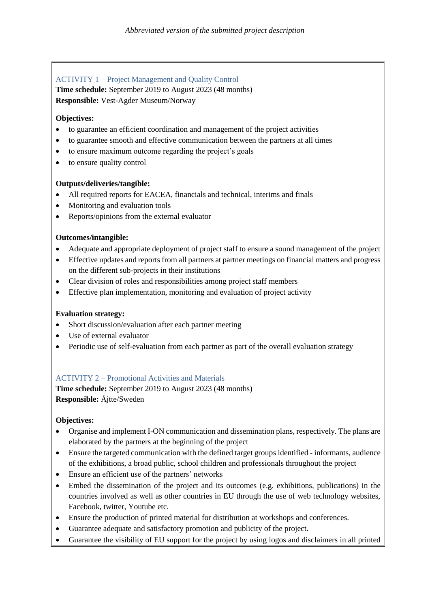# ACTIVITY 1 – Project Management and Quality Control

**Time schedule:** September 2019 to August 2023 (48 months) **Responsible:** Vest-Agder Museum/Norway

### **Objectives:**

- to guarantee an efficient coordination and management of the project activities
- to guarantee smooth and effective communication between the partners at all times
- to ensure maximum outcome regarding the project's goals
- to ensure quality control

## **Outputs/deliveries/tangible:**

- All required reports for EACEA, financials and technical, interims and finals
- Monitoring and evaluation tools
- Reports/opinions from the external evaluator

## **Outcomes/intangible:**

- Adequate and appropriate deployment of project staff to ensure a sound management of the project
- Effective updates and reports from all partners at partner meetings on financial matters and progress on the different sub-projects in their institutions
- Clear division of roles and responsibilities among project staff members
- Effective plan implementation, monitoring and evaluation of project activity

### **Evaluation strategy:**

- Short discussion/evaluation after each partner meeting
- Use of external evaluator
- Periodic use of self-evaluation from each partner as part of the overall evaluation strategy

# ACTIVITY 2 – Promotional Activities and Materials

**Time schedule:** September 2019 to August 2023 (48 months) **Responsible:** Ájtte/Sweden

### **Objectives:**

- Organise and implement I-ON communication and dissemination plans, respectively. The plans are elaborated by the partners at the beginning of the project
- Ensure the targeted communication with the defined target groups identified informants, audience of the exhibitions, a broad public, school children and professionals throughout the project
- Ensure an efficient use of the partners' networks
- Embed the dissemination of the project and its outcomes (e.g. exhibitions, publications) in the countries involved as well as other countries in EU through the use of web technology websites, Facebook, twitter, Youtube etc.
- Ensure the production of printed material for distribution at workshops and conferences.
- Guarantee adequate and satisfactory promotion and publicity of the project.
- Guarantee the visibility of EU support for the project by using logos and disclaimers in all printed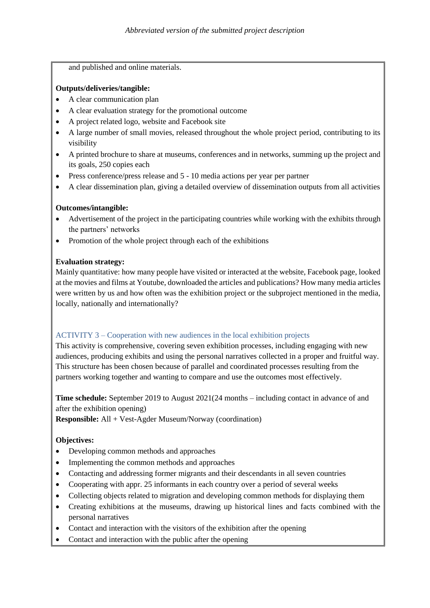and published and online materials.

## **Outputs/deliveries/tangible:**

- A clear communication plan
- A clear evaluation strategy for the promotional outcome
- A project related logo, website and Facebook site
- A large number of small movies, released throughout the whole project period, contributing to its visibility
- A printed brochure to share at museums, conferences and in networks, summing up the project and its goals, 250 copies each
- Press conference/press release and 5 10 media actions per year per partner
- A clear dissemination plan, giving a detailed overview of dissemination outputs from all activities

## **Outcomes/intangible:**

- Advertisement of the project in the participating countries while working with the exhibits through the partners' networks
- Promotion of the whole project through each of the exhibitions

## **Evaluation strategy:**

Mainly quantitative: how many people have visited or interacted at the website, Facebook page, looked at the movies and films at Youtube, downloaded the articles and publications? How many media articles were written by us and how often was the exhibition project or the subproject mentioned in the media, locally, nationally and internationally?

# ACTIVITY 3 – Cooperation with new audiences in the local exhibition projects

This activity is comprehensive, covering seven exhibition processes, including engaging with new audiences, producing exhibits and using the personal narratives collected in a proper and fruitful way. This structure has been chosen because of parallel and coordinated processes resulting from the partners working together and wanting to compare and use the outcomes most effectively.

**Time schedule:** September 2019 to August 2021(24 months – including contact in advance of and after the exhibition opening)

**Responsible:** All + Vest-Agder Museum/Norway (coordination)

# **Objectives:**

- Developing common methods and approaches
- Implementing the common methods and approaches
- Contacting and addressing former migrants and their descendants in all seven countries
- Cooperating with appr. 25 informants in each country over a period of several weeks
- Collecting objects related to migration and developing common methods for displaying them
- Creating exhibitions at the museums, drawing up historical lines and facts combined with the personal narratives
- Contact and interaction with the visitors of the exhibition after the opening
- Contact and interaction with the public after the opening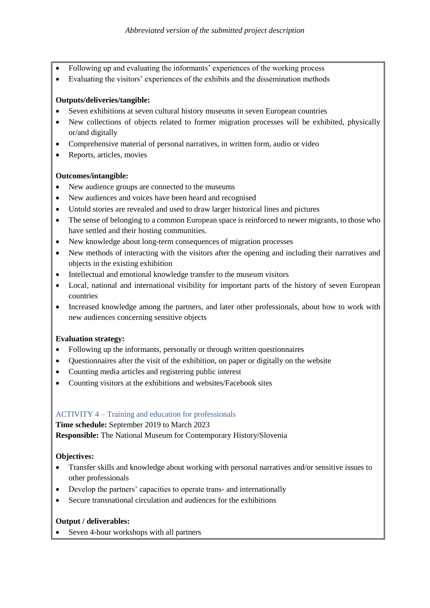- Following up and evaluating the informants' experiences of the working process
- Evaluating the visitors' experiences of the exhibits and the dissemination methods

### **Outputs/deliveries/tangible:**

- Seven exhibitions at seven cultural history museums in seven European countries
- New collections of objects related to former migration processes will be exhibited, physically or/and digitally
- Comprehensive material of personal narratives, in written form, audio or video
- Reports, articles, movies

## **Outcomes/intangible:**

- New audience groups are connected to the museums
- New audiences and voices have been heard and recognised
- Untold stories are revealed and used to draw larger historical lines and pictures
- The sense of belonging to a common European space is reinforced to newer migrants, to those who have settled and their hosting communities.
- New knowledge about long-term consequences of migration processes
- New methods of interacting with the visitors after the opening and including their narratives and objects in the existing exhibition
- Intellectual and emotional knowledge transfer to the museum visitors
- Local, national and international visibility for important parts of the history of seven European countries
- Increased knowledge among the partners, and later other professionals, about how to work with new audiences concerning sensitive objects

# **Evaluation strategy:**

- Following up the informants, personally or through written questionnaires
- Questionnaires after the visit of the exhibition, on paper or digitally on the website
- Counting media articles and registering public interest
- Counting visitors at the exhibitions and websites/Facebook sites

# ACTIVITY 4 – Training and education for professionals

**Time schedule:** September 2019 to March 2023

**Responsible:** The National Museum for Contemporary History/Slovenia

# **Objectives:**

- Transfer skills and knowledge about working with personal narratives and/or sensitive issues to other professionals
- Develop the partners' capacities to operate trans- and internationally
- Secure transnational circulation and audiences for the exhibitions

### **Output / deliverables:**

• Seven 4-hour workshops with all partners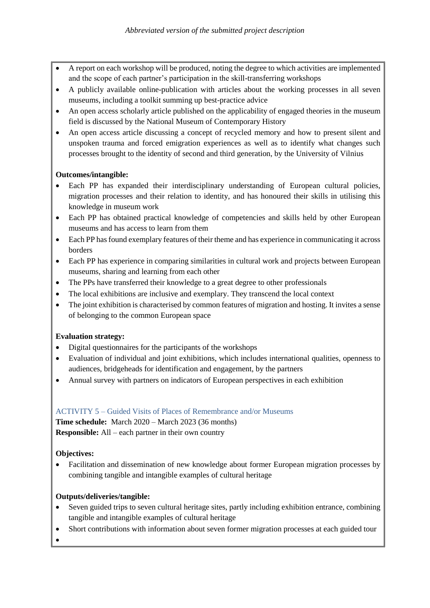- A report on each workshop will be produced, noting the degree to which activities are implemented and the scope of each partner's participation in the skill-transferring workshops
- A publicly available online-publication with articles about the working processes in all seven museums, including a toolkit summing up best-practice advice
- An open access scholarly article published on the applicability of engaged theories in the museum field is discussed by the National Museum of Contemporary History
- An open access article discussing a concept of recycled memory and how to present silent and unspoken trauma and forced emigration experiences as well as to identify what changes such processes brought to the identity of second and third generation, by the University of Vilnius

## **Outcomes/intangible:**

- Each PP has expanded their interdisciplinary understanding of European cultural policies, migration processes and their relation to identity, and has honoured their skills in utilising this knowledge in museum work
- Each PP has obtained practical knowledge of competencies and skills held by other European museums and has access to learn from them
- Each PP has found exemplary features of their theme and has experience in communicating it across borders
- Each PP has experience in comparing similarities in cultural work and projects between European museums, sharing and learning from each other
- The PPs have transferred their knowledge to a great degree to other professionals
- The local exhibitions are inclusive and exemplary. They transcend the local context
- The joint exhibition is characterised by common features of migration and hosting. It invites a sense of belonging to the common European space

# **Evaluation strategy:**

- Digital questionnaires for the participants of the workshops
- Evaluation of individual and joint exhibitions, which includes international qualities, openness to audiences, bridgeheads for identification and engagement, by the partners
- Annual survey with partners on indicators of European perspectives in each exhibition

### ACTIVITY 5 – Guided Visits of Places of Remembrance and/or Museums

**Time schedule:** March 2020 – March 2023 (36 months) **Responsible:** All – each partner in their own country

# **Objectives:**

 Facilitation and dissemination of new knowledge about former European migration processes by combining tangible and intangible examples of cultural heritage

# **Outputs/deliveries/tangible:**

- Seven guided trips to seven cultural heritage sites, partly including exhibition entrance, combining tangible and intangible examples of cultural heritage
- Short contributions with information about seven former migration processes at each guided tour

 $\bullet$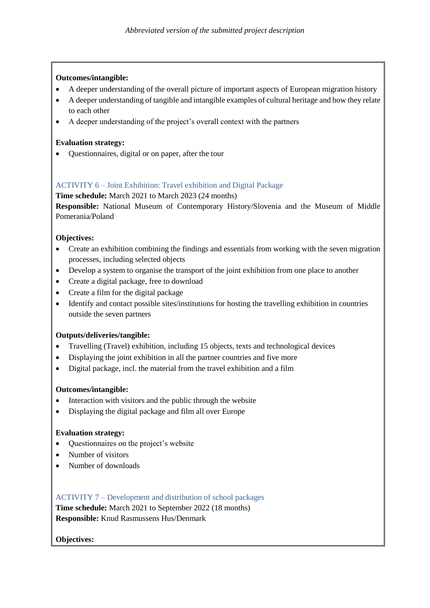### **Outcomes/intangible:**

- A deeper understanding of the overall picture of important aspects of European migration history
- A deeper understanding of tangible and intangible examples of cultural heritage and how they relate to each other
- A deeper understanding of the project's overall context with the partners

## **Evaluation strategy:**

Questionnaires, digital or on paper, after the tour

# ACTIVITY 6 – Joint Exhibition: Travel exhibition and Digital Package

### **Time schedule:** March 2021 to March 2023 (24 months)

**Responsible:** National Museum of Contemporary History/Slovenia and the Museum of Middle Pomerania/Poland

## **Objectives:**

- Create an exhibition combining the findings and essentials from working with the seven migration processes, including selected objects
- Develop a system to organise the transport of the joint exhibition from one place to another
- Create a digital package, free to download
- Create a film for the digital package
- Identify and contact possible sites/institutions for hosting the travelling exhibition in countries outside the seven partners

### **Outputs/deliveries/tangible:**

- Travelling (Travel) exhibition, including 15 objects, texts and technological devices
- Displaying the joint exhibition in all the partner countries and five more
- Digital package, incl. the material from the travel exhibition and a film

### **Outcomes/intangible:**

- Interaction with visitors and the public through the website
- Displaying the digital package and film all over Europe

### **Evaluation strategy:**

- Questionnaires on the project's website
- Number of visitors
- Number of downloads

# ACTIVITY 7 – Development and distribution of school packages

**Time schedule:** March 2021 to September 2022 (18 months) **Responsible:** Knud Rasmussens Hus/Denmark

# **Objectives:**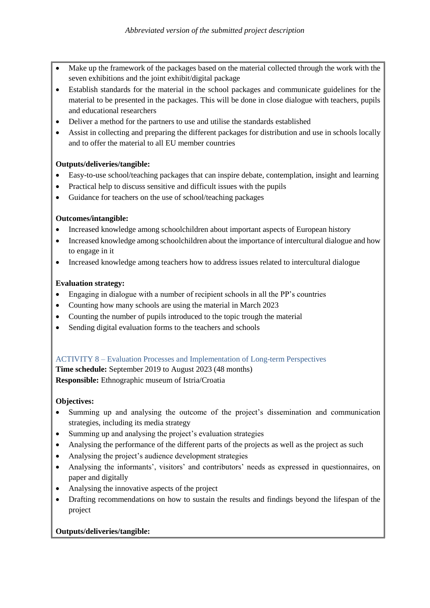- Make up the framework of the packages based on the material collected through the work with the seven exhibitions and the joint exhibit/digital package
- Establish standards for the material in the school packages and communicate guidelines for the material to be presented in the packages. This will be done in close dialogue with teachers, pupils and educational researchers
- Deliver a method for the partners to use and utilise the standards established
- Assist in collecting and preparing the different packages for distribution and use in schools locally and to offer the material to all EU member countries

## **Outputs/deliveries/tangible:**

- Easy-to-use school/teaching packages that can inspire debate, contemplation, insight and learning
- Practical help to discuss sensitive and difficult issues with the pupils
- Guidance for teachers on the use of school/teaching packages

## **Outcomes/intangible:**

- Increased knowledge among schoolchildren about important aspects of European history
- Increased knowledge among schoolchildren about the importance of intercultural dialogue and how to engage in it
- Increased knowledge among teachers how to address issues related to intercultural dialogue

## **Evaluation strategy:**

- Engaging in dialogue with a number of recipient schools in all the PP's countries
- Counting how many schools are using the material in March 2023
- Counting the number of pupils introduced to the topic trough the material
- Sending digital evaluation forms to the teachers and schools

### ACTIVITY 8 – Evaluation Processes and Implementation of Long-term Perspectives

**Time schedule:** September 2019 to August 2023 (48 months) **Responsible:** Ethnographic museum of Istria/Croatia

# **Objectives:**

- Summing up and analysing the outcome of the project's dissemination and communication strategies, including its media strategy
- Summing up and analysing the project's evaluation strategies
- Analysing the performance of the different parts of the projects as well as the project as such
- Analysing the project's audience development strategies
- Analysing the informants', visitors' and contributors' needs as expressed in questionnaires, on paper and digitally
- Analysing the innovative aspects of the project
- Drafting recommendations on how to sustain the results and findings beyond the lifespan of the project

# **Outputs/deliveries/tangible:**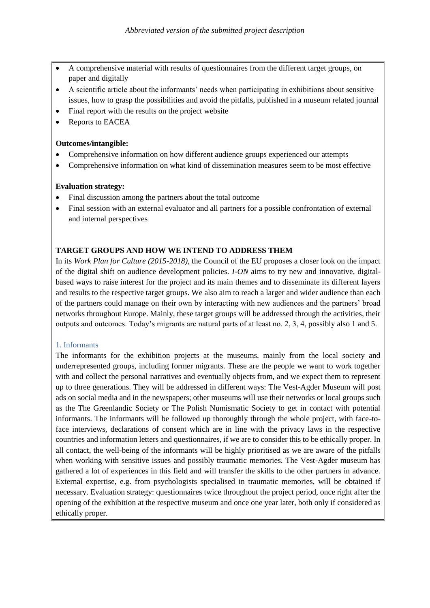- A comprehensive material with results of questionnaires from the different target groups, on paper and digitally
- A scientific article about the informants' needs when participating in exhibitions about sensitive issues, how to grasp the possibilities and avoid the pitfalls, published in a museum related journal
- Final report with the results on the project website
- Reports to EACEA

#### **Outcomes/intangible:**

- Comprehensive information on how different audience groups experienced our attempts
- Comprehensive information on what kind of dissemination measures seem to be most effective

### **Evaluation strategy:**

- Final discussion among the partners about the total outcome
- Final session with an external evaluator and all partners for a possible confrontation of external and internal perspectives

### **TARGET GROUPS AND HOW WE INTEND TO ADDRESS THEM**

In its *Work Plan for Culture (2015-2018)*, the Council of the EU proposes a closer look on the impact of the digital shift on audience development policies. *I-ON* aims to try new and innovative, digitalbased ways to raise interest for the project and its main themes and to disseminate its different layers and results to the respective target groups. We also aim to reach a larger and wider audience than each of the partners could manage on their own by interacting with new audiences and the partners' broad networks throughout Europe. Mainly, these target groups will be addressed through the activities, their outputs and outcomes. Today's migrants are natural parts of at least no. 2, 3, 4, possibly also 1 and 5.

#### 1. Informants

The informants for the exhibition projects at the museums, mainly from the local society and underrepresented groups, including former migrants. These are the people we want to work together with and collect the personal narratives and eventually objects from, and we expect them to represent up to three generations. They will be addressed in different ways: The Vest-Agder Museum will post ads on social media and in the newspapers; other museums will use their networks or local groups such as the The Greenlandic Society or The Polish Numismatic Society to get in contact with potential informants. The informants will be followed up thoroughly through the whole project, with face-toface interviews, declarations of consent which are in line with the privacy laws in the respective countries and information letters and questionnaires, if we are to consider this to be ethically proper. In all contact, the well-being of the informants will be highly prioritised as we are aware of the pitfalls when working with sensitive issues and possibly traumatic memories. The Vest-Agder museum has gathered a lot of experiences in this field and will transfer the skills to the other partners in advance. External expertise, e.g. from psychologists specialised in traumatic memories, will be obtained if necessary. Evaluation strategy: questionnaires twice throughout the project period, once right after the opening of the exhibition at the respective museum and once one year later, both only if considered as ethically proper.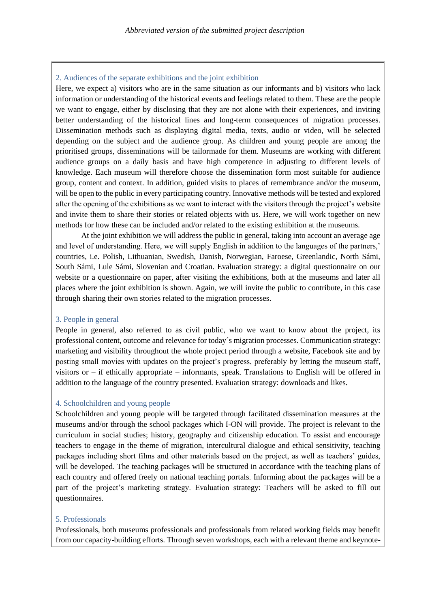#### 2. Audiences of the separate exhibitions and the joint exhibition

Here, we expect a) visitors who are in the same situation as our informants and b) visitors who lack information or understanding of the historical events and feelings related to them. These are the people we want to engage, either by disclosing that they are not alone with their experiences, and inviting better understanding of the historical lines and long-term consequences of migration processes. Dissemination methods such as displaying digital media, texts, audio or video, will be selected depending on the subject and the audience group. As children and young people are among the prioritised groups, disseminations will be tailormade for them. Museums are working with different audience groups on a daily basis and have high competence in adjusting to different levels of knowledge. Each museum will therefore choose the dissemination form most suitable for audience group, content and context. In addition, guided visits to places of remembrance and/or the museum, will be open to the public in every participating country. Innovative methods will be tested and explored after the opening of the exhibitions as we want to interact with the visitors through the project's website and invite them to share their stories or related objects with us. Here, we will work together on new methods for how these can be included and/or related to the existing exhibition at the museums.

At the joint exhibition we will address the public in general, taking into account an average age and level of understanding. Here, we will supply English in addition to the languages of the partners,' countries, i.e. Polish, Lithuanian, Swedish, Danish, Norwegian, Faroese, Greenlandic, North Sámi, South Sámi, Lule Sámi, Slovenian and Croatian. Evaluation strategy: a digital questionnaire on our website or a questionnaire on paper, after visiting the exhibitions, both at the museums and later all places where the joint exhibition is shown. Again, we will invite the public to contribute, in this case through sharing their own stories related to the migration processes.

#### 3. People in general

People in general, also referred to as civil public, who we want to know about the project, its professional content, outcome and relevance for today´s migration processes. Communication strategy: marketing and visibility throughout the whole project period through a website, Facebook site and by posting small movies with updates on the project's progress, preferably by letting the museum staff, visitors or – if ethically appropriate – informants, speak. Translations to English will be offered in addition to the language of the country presented. Evaluation strategy: downloads and likes.

#### 4. Schoolchildren and young people

Schoolchildren and young people will be targeted through facilitated dissemination measures at the museums and/or through the school packages which I-ON will provide. The project is relevant to the curriculum in social studies; history, geography and citizenship education. To assist and encourage teachers to engage in the theme of migration, intercultural dialogue and ethical sensitivity, teaching packages including short films and other materials based on the project, as well as teachers' guides, will be developed. The teaching packages will be structured in accordance with the teaching plans of each country and offered freely on national teaching portals. Informing about the packages will be a part of the project's marketing strategy. Evaluation strategy: Teachers will be asked to fill out questionnaires.

#### 5. Professionals

Professionals, both museums professionals and professionals from related working fields may benefit from our capacity-building efforts. Through seven workshops, each with a relevant theme and keynote-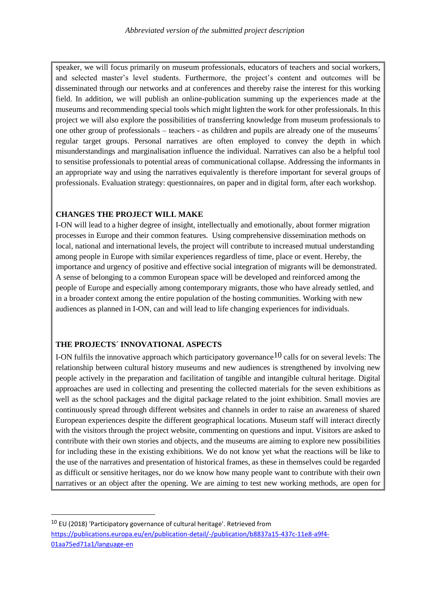speaker, we will focus primarily on museum professionals, educators of teachers and social workers, and selected master's level students. Furthermore, the project's content and outcomes will be disseminated through our networks and at conferences and thereby raise the interest for this working field. In addition, we will publish an online-publication summing up the experiences made at the museums and recommending special tools which might lighten the work for other professionals. In this project we will also explore the possibilities of transferring knowledge from museum professionals to one other group of professionals – teachers - as children and pupils are already one of the museums´ regular target groups. Personal narratives are often employed to convey the depth in which misunderstandings and marginalisation influence the individual. Narratives can also be a helpful tool to sensitise professionals to potential areas of communicational collapse. Addressing the informants in an appropriate way and using the narratives equivalently is therefore important for several groups of professionals. Evaluation strategy: questionnaires, on paper and in digital form, after each workshop.

### **CHANGES THE PROJECT WILL MAKE**

I-ON will lead to a higher degree of insight, intellectually and emotionally, about former migration processes in Europe and their common features. Using comprehensive dissemination methods on local, national and international levels, the project will contribute to increased mutual understanding among people in Europe with similar experiences regardless of time, place or event. Hereby, the importance and urgency of positive and effective social integration of migrants will be demonstrated. A sense of belonging to a common European space will be developed and reinforced among the people of Europe and especially among contemporary migrants, those who have already settled, and in a broader context among the entire population of the hosting communities. Working with new audiences as planned in I-ON, can and will lead to life changing experiences for individuals.

### **THE PROJECTS´ INNOVATIONAL ASPECTS**

**.** 

I-ON fulfils the innovative approach which participatory governance  $10$  calls for on several levels: The relationship between cultural history museums and new audiences is strengthened by involving new people actively in the preparation and facilitation of tangible and intangible cultural heritage. Digital approaches are used in collecting and presenting the collected materials for the seven exhibitions as well as the school packages and the digital package related to the joint exhibition. Small movies are continuously spread through different websites and channels in order to raise an awareness of shared European experiences despite the different geographical locations. Museum staff will interact directly with the visitors through the project website, commenting on questions and input. Visitors are asked to contribute with their own stories and objects, and the museums are aiming to explore new possibilities for including these in the existing exhibitions. We do not know yet what the reactions will be like to the use of the narratives and presentation of historical frames, as these in themselves could be regarded as difficult or sensitive heritages, nor do we know how many people want to contribute with their own narratives or an object after the opening. We are aiming to test new working methods, are open for

<sup>10</sup> EU (2018) 'Participatory governance of cultural heritage'. Retrieved from [https://publications.europa.eu/en/publication-detail/-/publication/b8837a15-437c-11e8-a9f4-](https://publications.europa.eu/en/publication-detail/-/publication/b8837a15-437c-11e8-a9f4-01aa75ed71a1/language-en) [01aa75ed71a1/language-en](https://publications.europa.eu/en/publication-detail/-/publication/b8837a15-437c-11e8-a9f4-01aa75ed71a1/language-en)